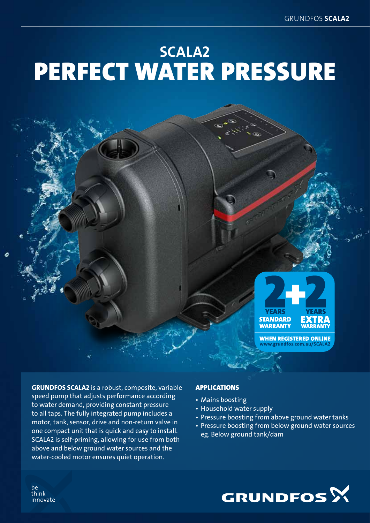## Scala2 Perfect water pressure



**WHEN REGISTERED ONLINE** .erundfos.com.au/SCAL

GRUNDFOS SCALA2 is a robust, composite, variable speed pump that adjusts performance according to water demand, providing constant pressure to all taps. The fully integrated pump includes a motor, tank, sensor, drive and non-return valve in one compact unit that is quick and easy to install. SCALA2 is self-priming, allowing for use from both above and below ground water sources and the water-cooled motor ensures quiet operation.

### Applications

- Mains boosting
- Household water supply
- Pressure boosting from above ground water tanks
- Pressure boosting from below ground water sources eg. Below ground tank/dam



be think innovate